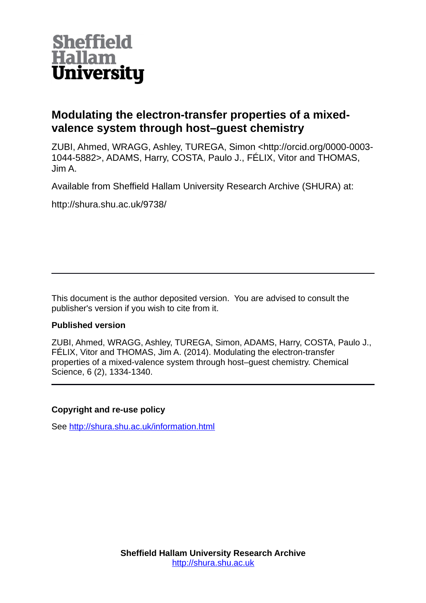

## **Modulating the electron-transfer properties of a mixedvalence system through host–guest chemistry**

ZUBI, Ahmed, WRAGG, Ashley, TUREGA, Simon <http://orcid.org/0000-0003- 1044-5882>, ADAMS, Harry, COSTA, Paulo J., FÉLIX, Vitor and THOMAS, Jim A.

Available from Sheffield Hallam University Research Archive (SHURA) at:

http://shura.shu.ac.uk/9738/

This document is the author deposited version. You are advised to consult the publisher's version if you wish to cite from it.

### **Published version**

ZUBI, Ahmed, WRAGG, Ashley, TUREGA, Simon, ADAMS, Harry, COSTA, Paulo J., FÉLIX, Vitor and THOMAS, Jim A. (2014). Modulating the electron-transfer properties of a mixed-valence system through host–guest chemistry. Chemical Science, 6 (2), 1334-1340.

### **Copyright and re-use policy**

See<http://shura.shu.ac.uk/information.html>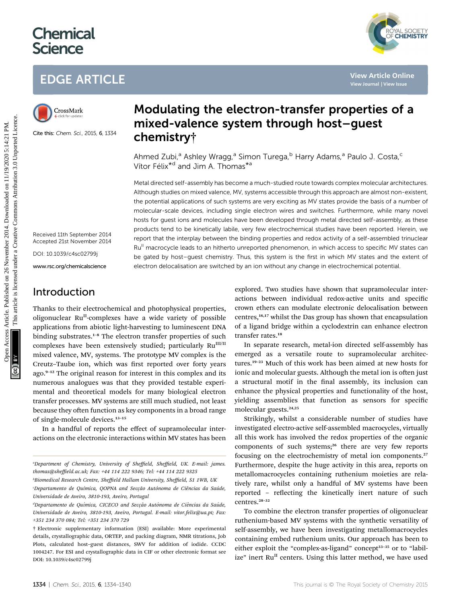# **Chemical Science**

# EDGE ARTICLE



Cite this: Chem. Sci., 2015, 6, 1334

## Modulating the electron-transfer properties of a mixed-valence system through host–guest chemistry†

Ahmed Zubi,<sup>a</sup> Ashley Wragg,<sup>a</sup> Simon Turega,<sup>b</sup> Harry Adams,<sup>a</sup> Paulo J. Costa,<sup>c</sup> Vítor Félix<sup>\*d</sup> and Jim A. Thomas<sup>\*a</sup>

Metal directed self-assembly has become a much-studied route towards complex molecular architectures. Although studies on mixed valence, MV, systems accessible through this approach are almost non-existent, the potential applications of such systems are very exciting as MV states provide the basis of a number of molecular-scale devices, including single electron wires and switches. Furthermore, while many novel hosts for guest ions and molecules have been developed through metal directed self-assembly, as these products tend to be kinetically labile, very few electrochemical studies have been reported. Herein, we report that the interplay between the binding properties and redox activity of a self-assembled trinuclear Ru<sup>II</sup> macrocycle leads to an hitherto unreported phenomenon, in which access to specific MV states can be gated by host–guest chemistry. Thus, this system is the first in which MV states and the extent of electron delocalisation are switched by an ion without any change in electrochemical potential. **EDGE ARTICLE**<br>
Solution is a constant **Modulating the electron-transfer properties of a**<br>
mixed-valence system through host-guest<br>  $\frac{1}{2}$  can the channel 2008. A since  $\frac{1}{2}$  can the channel 2008  $\frac{1}{2}$  can the

Received 11th September 2014 Accepted 21st November 2014

DOI: 10.1039/c4sc02799j

www.rsc.org/chemicalscience

## Introduction

Thanks to their electrochemical and photophysical properties, oligonuclear Ru<sup>II</sup>-complexes have a wide variety of possible applications from abiotic light-harvesting to luminescent DNA binding substrates.<sup>1-8</sup> The electron transfer properties of such complexes have been extensively studied; particularly  $Ru^{III/II}$ mixed valence, MV, systems. The prototype MV complex is the Creutz–Taube ion, which was first reported over forty years ago.<sup>9-12</sup> The original reason for interest in this complex and its numerous analogues was that they provided testable experimental and theoretical models for many biological electron transfer processes. MV systems are still much studied, not least because they often function as key components in a broad range of single-molecule devices.<sup>13</sup>–<sup>15</sup>

In a handful of reports the effect of supramolecular interactions on the electronic interactions within MV states has been

b Biomedical Research Centre, Sheffield Hallam University, Sheffield, S1 1WB, UK

explored. Two studies have shown that supramolecular interactions between individual redox-active units and specific crown ethers can modulate electronic delocalisation between centres,16,17 whilst the Das group has shown that encapsulation of a ligand bridge within a cyclodextrin can enhance electron transfer rates.<sup>18</sup>

In separate research, metal-ion directed self-assembly has emerged as a versatile route to supramolecular architectures.<sup>19</sup>–<sup>23</sup> Much of this work has been aimed at new hosts for ionic and molecular guests. Although the metal ion is often just a structural motif in the final assembly, its inclusion can enhance the physical properties and functionality of the host, yielding assemblies that function as sensors for specific molecular guests.<sup>24,25</sup>

Strikingly, whilst a considerable number of studies have investigated electro-active self-assembled macrocycles, virtually all this work has involved the redox properties of the organic components of such systems;<sup>26</sup> there are very few reports focusing on the electrochemistry of metal ion components.<sup>27</sup> Furthermore, despite the huge activity in this area, reports on metallomacrocycles containing ruthenium moieties are relatively rare, whilst only a handful of MV systems have been reported - reflecting the kinetically inert nature of such centres.<sup>28</sup>–<sup>32</sup>

To combine the electron transfer properties of oligonuclear ruthenium-based MV systems with the synthetic versatility of self-assembly, we have been investigating metallomacrocycles containing embed ruthenium units. Our approach has been to either exploit the "complex-as-ligand" concept<sup>33-35</sup> or to "labilize" inert  $Ru<sup>H</sup>$  centers. Using this latter method, we have used

YAL SOCIETY<br>**CHEMISTRY** 

a Department of Chemistry, University of Sheffield, Sheffield, UK. E-mail: james. thomas@sheffield.ac.uk; Fax: +44 114 222 9346; Tel: +44 114 222 9325

<sup>&</sup>quot;Departamento de Química, QOPNA and Secção Autónoma de Ciências da Saúde, Universidade de Aveiro, 3810-193, Aveiro, Portugal

dDepartamento de Química, CICECO and Secção Autónoma de Ciências da Saúde, " Universidade de Aveiro, 3810-193, Aveiro, Portugal. E-mail: vitor.felix@ua.pt; Fax: +351 234 370 084; Tel: +351 234 370 729

<sup>†</sup> Electronic supplementary information (ESI) available: More experimental details, crystallographic data, ORTEP, and packing diagram, NMR titrations, Job Plots, calculated host–guest distances, SWV for addition of iodide. CCDC 1004247. For ESI and crystallographic data in CIF or other electronic format see DOI: 10.1039/c4sc02799j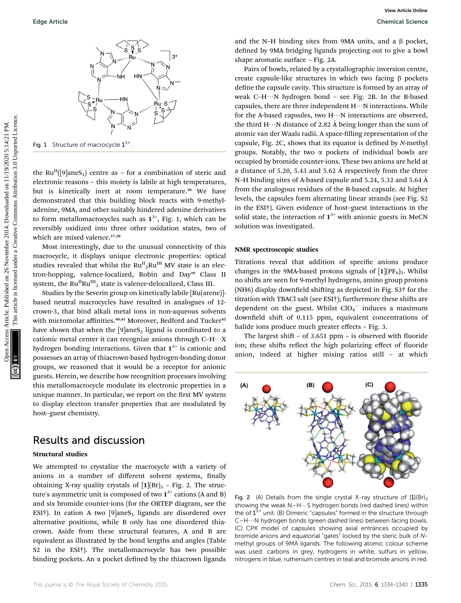

Fig. 1 Structure of macrocycle  $1^{3+}$ 

the Ru<sup>II</sup>([9]aneS<sub>3</sub>) centre as – for a combination of steric and electronic reasons – this moiety is labile at high temperatures, but is kinetically inert at room temperature.<sup>36</sup> We have demonstrated that this building block reacts with 9-methyladenine, 9MA, and other suitably hindered adenine derivatives to form metallomacrocycles such as  $1^{3+}$ , Fig. 1, which can be reversibly oxidized into three other oxidation states, two of which are mixed valence.<sup>37,38</sup>

Most interestingly, due to the unusual connectivity of this macrocycle, it displays unique electronic properties: optical studies revealed that whilst the  $\mathrm{Ru}_{\_2}^\mathrm{II} \mathrm{Ru}^\mathrm{III}$  MV state is an electron-hopping, valence-localized, Robin and Day<sup>39</sup> Class II system, the  $Ru^{II}Ru^{III}$ <sub>3</sub> state is valence-delocalized, Class III.

Studies by the Severin group on kinetically labile [Ru(arene)] based neutral macrocycles have resulted in analogues of 12 crown-3, that bind alkali metal ions in non-aqueous solvents with micromolar affinities.<sup>40,41</sup> Moreover, Bedford and Tucker<sup>42</sup> have shown that when the  $[9]$ ane $S_3$  ligand is coordinated to a cationic metal center it can recognize anions through  $C-H\cdots X$ hydrogen bonding interactions. Given that  $1^{3+}$  is cationic and possesses an array of thiacrown-based hydrogen-bonding donor groups, we reasoned that it would be a receptor for anionic guests. Herein, we describe how recognition processes involving this metallomacrocycle modulate its electronic properties in a unique manner. In particular, we report on the first MV system to display electron transfer properties that are modulated by host–guest chemistry.

## Results and discussion

#### Structural studies

We attempted to crystalize the macrocycle with a variety of anions in a number of different solvent systems, finally obtaining X-ray quality crystals of  $[1](Br)_3$  - Fig. 2. The structure's asymmetric unit is composed of two  $1^{3+}$  cations (A and B) and six bromide counter-ions (for the ORTEP diagram, see the ESI<sup>†</sup>). In cation A two [9]aneS<sub>3</sub> ligands are disordered over alternative positions, while B only has one disordered thiacrown. Aside from these structural features, A and B are equivalent as illustrated by the bond lengths and angles (Table S2 in the ESI†). The metallomacrocycle has two possible binding pockets. An  $\alpha$  pocket defined by the thiacrown ligands

and the N–H binding sites from 9MA units, and a  $\beta$  pocket, defined by 9MA bridging ligands projecting out to give a bowl shape aromatic surface – Fig. 2A.

Pairs of bowls, related by a crystallographic inversion centre, create capsule-like structures in which two facing  $\beta$  pockets define the capsule cavity. This structure is formed by an array of weak C-H $\cdots$ N hydrogen bond - see Fig. 2B. In the B-based capsules, there are three independent  $H \cdots N$  interactions. While for the A-based capsules, two  $H \cdots N$  interactions are observed, the third H $\cdots$ N distance of 2.82 Å being longer than the sum of atomic van der Waals radii. A space-filling representation of the capsule, Fig. 2C, shows that its equator is defined by N-methyl groups. Notably, the two  $\alpha$  pockets of individual bowls are occupied by bromide counter-ions. These two anions are held at a distance of 5.20, 5.43 and 5.62  $\AA$  respectively from the three N–H binding sites of A-based capsule and 5.24, 5.32 and 5.64 Å from the analogous residues of the B-based capsule. At higher levels, the capsules form alternating linear strands (see Fig. S2 in the ESI†). Given evidence of host–guest interactions in the solid state, the interaction of  $1^{3+}$  with anionic guests in MeCN solution was investigated. Edge Article.<br>
Commons Seiner Access Articles. The article is the specific interaction and the pole articles. The article is the specific interaction and the pole articles. The article is the specific interaction in the f

#### NMR spectroscopic studies

Titrations reveal that addition of specific anions produce changes in the 9MA-based protons signals of  $[1] (PF_6)_3$ . Whilst no shifts are seen for 9-methyl hydrogens, amino group protons (NH6) display downfield shifting as depicted in Fig.  $S3\dagger$  for the titration with TBACl salt (see ESI†); furthermore these shifts are dependent on the guest. Whilst  $ClO<sub>4</sub><sup>-</sup>$  induces a maximum downfield shift of 0.115 ppm, equivalent concentrations of halide ions produce much greater effects - Fig. 3.

The largest shift – of 3.651 ppm – is observed with fluoride ion; these shifts reflect the high polarizing effect of fluoride anion, indeed at higher mixing ratios still – at which



Fig. 2 (A) Details from the single crystal X-ray structure of  $[1](Br)_3$ showing the weak N-H···S hydrogen bonds (red dashed lines) within the of  $1^{3+}$  unit. (B) Dimeric "capsules" formed in the structure through  $C-H\cdots N$  hydrogen bonds (green dashed lines) between facing bowls. (C) CPK model of capsules showing axial entrances occupied by bromide anions and equatorial "gates" locked by the steric bulk of Nmethyl groups of 9MA ligands. The following atomic colour scheme was used: carbons in grey, hydrogens in white, sulfurs in yellow, nitrogens in blue, ruthenium centres in teal and bromide anions in red.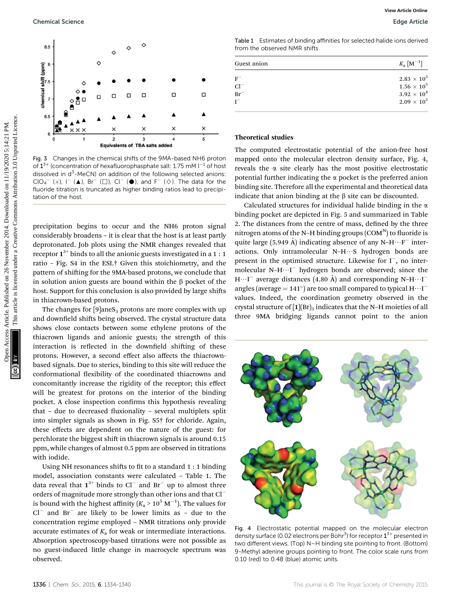

Fig. 3 Changes in the chemical shifts of the 9MA-based NH6 proton of  $1^{3+}$  (concentration of hexafluorophasphate salt: 1.75 mM  $I^{-1}$  of host dissolved in d<sup>3</sup>-MeCN) on addition of the following selected anions:  $ClO_4^-$  (x),  $I^-$  ( $\blacktriangle$ ), Br<sup>-</sup> ( $\square$ ), Cl<sup>-</sup> ( $\blacktriangleright$ ), and F<sup>-</sup> ( $\diamondsuit$ ). The data for the fluoride titration is truncated as higher binding ratios lead to precipitation of the host.

precipitation begins to occur and the NH6 proton signal considerably broadens – it is clear that the host is at least partly deprotonated. Job plots using the NMR changes revealed that receptor  $1^{3+}$  binds to all the anionic guests investigated in a 1 : 1 ratio – Fig. S4 in the ESI.† Given this stoichiometry, and the pattern of shifting for the 9MA-based protons, we conclude that in solution anion guests are bound within the  $\beta$  pocket of the host. Support for this conclusion is also provided by large shifts in thiacrown-based protons.

The changes for  $[9]$ ane $S_3$  protons are more complex with up and downfield shifts being observed. The crystal structure data shows close contacts between some ethylene protons of the thiacrown ligands and anionic guests; the strength of this interaction is reflected in the downfield shifting of these protons. However, a second effect also affects the thiacrownbased signals. Due to sterics, binding to this site will reduce the conformational flexibility of the coordinated thiacrowns and concomitantly increase the rigidity of the receptor; this effect will be greatest for protons on the interior of the binding pocket. A close inspection confirms this hypothesis revealing that  $-$  due to decreased fluxionality  $-$  several multiplets split into simpler signals as shown in Fig. S5† for chloride. Again, these effects are dependent on the nature of the guest: for perchlorate the biggest shift in thiacrown signals is around 0.15 ppm, while changes of almost 0.5 ppm are observed in titrations with iodide.

Using NH resonances shifts to fit to a standard  $1:1$  binding model, association constants were calculated – Table 1. The data reveal that  $1^{3+}$  binds to Cl<sup>-</sup> and Br<sup>-</sup> up to almost three orders of magnitude more strongly than other ions and that Cl is bound with the highest affinity ( $K_{\rm a}$  > 10 $^5$  M $^{-1}$ ). The values for  $Cl^-$  and  $Br^-$  are likely to be lower limits as - due to the concentration regime employed – NMR titrations only provide accurate estimates of  $K<sub>a</sub>$  for weak or intermediate interactions. Absorption spectroscopy-based titrations were not possible as no guest-induced little change in macrocycle spectrum was observed.

Table 1 Estimates of binding affinities for selected halide ions derived from the observed NMR shifts

| Guest anion | $K_{\rm a}\left[{\rm M}^{-1}\right]$ |
|-------------|--------------------------------------|
| $F^-$       | $2.83 \times 10^{2}$                 |
| $Cl^-$      | $1.56 \times 10^{5}$                 |
| $Br^-$      | $3.92 \times 10^{4}$                 |
|             | $2.09 \times 10^{3}$                 |
|             |                                      |

#### Theoretical studies

The computed electrostatic potential of the anion-free host mapped onto the molecular electron density surface, Fig. 4, reveals the  $\alpha$  site clearly has the most positive electrostatic potential further indicating the  $\alpha$  pocket is the preferred anion binding site. Therefore all the experimental and theoretical data indicate that anion binding at the  $\beta$  site can be discounted.

Calculated structures for individual halide binding in the  $\alpha$ binding pocket are depicted in Fig. 5 and summarized in Table 2. The distances from the centre of mass, defined by the three nitrogen atoms of the N–H binding groups  $(COM<sup>N</sup>)$  to fluoride is quite large (5.949 Å) indicating absence of any  $N-H\cdots F^-$  interactions. Only intramolecular  $N-H\cdots S$  hydrogen bonds are present in the optimised structure. Likewise for  $I^-$ , no intermolecular N-H $\cdots$ I<sup>-</sup> hydrogen bonds are observed; since the  $H \cdots I^-$  average distances (4.80 Å) and corresponding N-H $\cdots I^$ angles (average  $= 141^{\circ}$ ) are too small compared to typical  $\text{H}\cdots\text{I}^$ values. Indeed, the coordination geometry observed in the crystal structure of  $[1]$ (Br)<sub>3</sub> indicates that the N–H moieties of all three 9MA bridging ligands cannot point to the anion



Fig. 4 Electrostatic potential mapped on the molecular electron density surface (0.02 electrons per Bohr<sup>3</sup>) for receptor  $1^{3+}$  presented in two different views. (Top) N–H binding site pointing to front. (Bottom) 9-Methyl adenine groups pointing to front. The color scale runs from 0.10 (red) to 0.48 (blue) atomic units.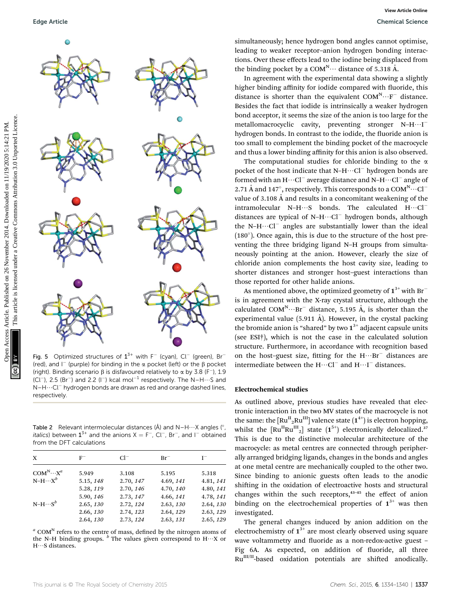

Fig. 5 Optimized structures of  $1^{3+}$  with F<sup>-</sup> (cyan), Cl<sup>-</sup> (green), Br<sup>-</sup> (red), and  $I^-$  (purple) for binding in the  $\alpha$  pocket (left) or the  $\beta$  pocket (right). Binding scenario  $\beta$  is disfavoured relatively to  $\alpha$  by 3.8 (F<sup>-</sup>), 1.9 (Cl<sup>-</sup>), 2.5 (Br<sup>-</sup>) and 2.2 (I<sup>-</sup>) kcal mol<sup>-1</sup> respectively. The N-H $\cdots$ S and N-H $\cdots$ Cl<sup>-</sup> hydrogen bonds are drawn as red and orange dashed lines, respectively.

Table 2 Relevant intermolecular distances (Å) and  $N-H\cdots X$  angles (°, *italics*) between  $1^{3+}$  and the anions  $X = F^{-}$ , Cl<sup>-</sup>, Br<sup>-</sup>, and l<sup>-</sup> obtained from the DFT calculations

| X                  | $_{\rm F}^-$ | $Cl^-$    | $Br^-$    | г         |
|--------------------|--------------|-----------|-----------|-----------|
| $COM^N \cdots X^a$ | 5.949        | 3.108     | 5.195     | 5.318     |
| $N-H\cdots X^b$    | 5.15, 148    | 2.70, 147 | 4.69, 141 | 4.81, 141 |
|                    | 5.28, 119    | 2.70, 146 | 4.70, 140 | 4.80, 141 |
|                    | 5.90, 146    | 2.73, 147 | 4.66, 141 | 4.78, 141 |
| $N-H\cdots S^b$    | 2.65, 130    | 2.72, 124 | 2.63, 130 | 2.64, 130 |
|                    | 2.66, 130    | 2.74, 123 | 2.64, 129 | 2.63, 129 |
|                    | 2.64, 130    | 2.73, 124 | 2.63, 131 | 2.65, 129 |

 $a$  COM<sup>N</sup> refers to the centre of mass, defined by the nitrogen atoms of the N–H binding groups.  $\flat$  The values given correspond to H $\cdots$ X or  $H\cdots S$  distances.

simultaneously; hence hydrogen bond angles cannot optimise, leading to weaker receptor–anion hydrogen bonding interactions. Over these effects lead to the iodine being displaced from the binding pocket by a  $COM^N \cdots$  distance of 5.318 Å.

In agreement with the experimental data showing a slightly higher binding affinity for iodide compared with fluoride, this distance is shorter than the equivalent  $COM^N \cdots F^-$  distance. Besides the fact that iodide is intrinsically a weaker hydrogen bond acceptor, it seems the size of the anion is too large for the metallomacrocyclic cavity, preventing stronger  $N-H\cdots I^$ hydrogen bonds. In contrast to the iodide, the fluoride anion is too small to complement the binding pocket of the macrocycle and thus a lower binding affinity for this anion is also observed.

The computational studies for chloride binding to the  $\alpha$ pocket of the host indicate that  $N-H\cdots Cl^-$  hydrogen bonds are formed with an  $H \cdots Cl^-$  average distance and N–H $\cdots Cl^-$  angle of 2.71 Å and 147°, respectively. This corresponds to a  $COM^N \cdots Cl^$ value of  $3.108 \text{ Å}$  and results in a concomitant weakening of the intramolecular N-H $\cdots$ S bonds. The calculated H $\cdots$ Cl $^$ distances are typical of  $N-H\cdots Cl^-$  hydrogen bonds, although the N-H $\cdots$ Cl<sup>-</sup> angles are substantially lower than the ideal  $(180^{\circ})$ . Once again, this is due to the structure of the host preventing the three bridging ligand N–H groups from simultaneously pointing at the anion. However, clearly the size of chloride anion complements the host cavity size, leading to shorter distances and stronger host–guest interactions than those reported for other halide anions.

As mentioned above, the optimized geometry of  $1^{3+}$  with Br<sup>-</sup> is in agreement with the X-ray crystal structure, although the calculated COM<sup>N</sup> $\cdots$ Br<sup>-</sup> distance, 5.195 Å, is shorter than the experimental value (5.911 Å). However, in the crystal packing the bromide anion is "shared" by two  $1^{3+}$  adjacent capsule units (see ESI†), which is not the case in the calculated solution structure. Furthermore, in accordance with recognition based on the host-guest size, fitting for the  $H \cdots Br$  distances are intermediate between the  $H \cdots Cl^-$  and  $H \cdots I^-$  distances.

#### Electrochemical studies

As outlined above, previous studies have revealed that electronic interaction in the two MV states of the macrocycle is not the same: the  $\mathrm{[Ru^{II}{}_{2}Ru^{III}]}$  valence state  $\mathrm{(1^{4+})}$  is electron hopping, whilst the  $\left[\text{Ru}^{\text{II}}\text{Ru}^{\text{III}}\right]$  state  $(1^{5+})$  electronically delocalized.<sup>37</sup> This is due to the distinctive molecular architecture of the macrocycle: as metal centres are connected through peripherally arranged bridging ligands, changes in the bonds and angles at one metal centre are mechanically coupled to the other two. Since binding to anionic guests often leads to the anodic shifting in the oxidation of electroactive hosts and structural changes within the such receptors,<sup>43-45</sup> the effect of anion binding on the electrochemical properties of  $1^{3+}$  was then investigated.

The general changes induced by anion addition on the electrochemistry of  $1^{3+}$  are most clearly observed using square wave voltammetry and fluoride as a non-redox-active guest -Fig 6A. As expected, on addition of fluoride, all three Ru<sup>III/II</sup>-based oxidation potentials are shifted anodically.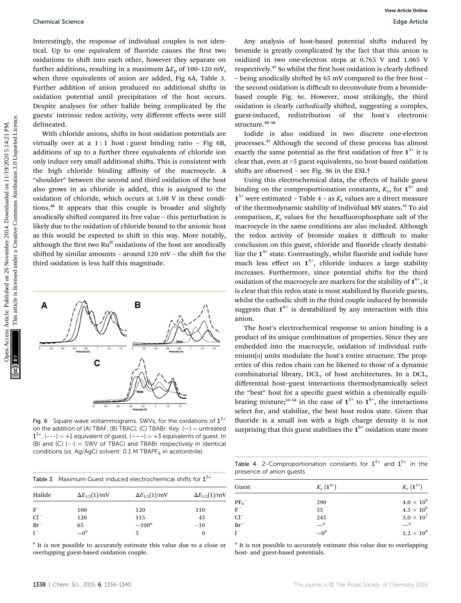Interestingly, the response of individual couples is not identical. Up to one equivalent of fluoride causes the first two oxidations to shift into each other, however they separate on further additions, resulting in a maximum  $\Delta E_p$  of 100–120 mV, when three equivalents of anion are added, Fig 6A, Table 3. Further addition of anion produced no additional shifts in oxidation potential until precipitation of the host occurs. Despite analyses for other halide being complicated by the guests' intrinsic redox activity, very different effects were still delineated.

With chloride anions, shifts in host oxidation potentials are virtually over at a  $1:1$  host : guest binding ratio - Fig 6B, additions of up to a further three equivalents of chloride ion only induce very small additional shifts. This is consistent with the high chloride binding affinity of the macrocycle. A "shoulder" between the second and third oxidation of the host also grows in as chloride is added, this is assigned to the oxidation of chloride, which occurs at 1.08 V in these conditions.<sup>46</sup> It appears that this couple is broader and slightly anodically shifted compared its free value – this perturbation is likely due to the oxidation of chloride bound to the anionic host as this would be expected to shift in this way. More notably, although the first two  $Ru<sup>H</sup>$  oxidations of the host are anodically shifted by similar amounts – around  $120$  mV – the shift for the third oxidation is less half this magnitude.



Fig. 6 Square wave voltammograms, SWVs, for the oxidations of  $1^{3+}$ on the addition of (A) TBAF; (B) TBACl; (C) TBABr. Key:  $(-)$  = untreated  $1^{3+}$ , (---) = +1 equivalent of guest, (---) = +3 equivalents of guest. In (B) and (C)  $(\cdots)$  = SWV of TBACl and TBABr respectively in identical conditions (vs. Ag/AgCl solvent:  $0.1$  M TBAPF $_6$  in acetonitrile).

|        | Table 3 Maximum Guest induced electrochemical shifts for $1^{3+}$ |                        |                        |
|--------|-------------------------------------------------------------------|------------------------|------------------------|
| Halide | $\Delta E_{1/2}(1)/mV$                                            | $\Delta E_{1/2}(1)/mV$ | $\Delta E_{1/2}(1)/mV$ |
| $F^-$  | 100                                                               | 120                    | 110                    |
| $Cl^-$ | 120                                                               | 115                    | 45                     |
| $Br^-$ | 65                                                                | $\sim$ 100 $^a$        | $-10$                  |
| $I^-$  | $\sim 0^a$                                                        | 5                      | 0                      |

 $a$  It is not possible to accurately estimate this value due to a close or overlapping guest-based oxidation couple.

Any analysis of host-based potential shifts induced by bromide is greatly complicated by the fact that this anion is oxidized in two one-electron steps at 0.765 V and 1.065 V respectively.<sup>47</sup> So whilst the first host oxidation is clearly defined – being anodically shifted by 65 mV compared to the free host the second oxidation is difficult to deconvolute from a bromidebased couple Fig. 6c. However, most strikingly, the third oxidation is clearly *cathodically* shifted, suggesting a complex, guest-induced, redistribution of the host's electronic structure.<sup>48-50</sup>

Iodide is also oxidized in two discrete one-electron processes.<sup>47</sup> Although the second of these process has almost exactly the same potential as the first oxidation of free  $1^{3+}$  it is clear that, even at >5 guest equivalents, no host-based oxidation shifts are observed – see Fig.  $S6$  in the ESI.<sup>†</sup>

Using this electrochemical data, the effects of halide guest binding on the comproportionation constants,  $K_c$ , for  $1^{4+}$  and  $1^{5+}$  were estimated – Table 4 – as  $K_c$  values are a direct measure of the thermodynamic stability of individual MV states.<sup>51</sup> To aid comparison,  $K_c$  values for the hexafluorophosphate salt of the macrocycle in the same conditions are also included. Although the redox activity of bromide makes it difficult to make conclusion on this guest, chloride and fluoride clearly destabilize the  $1^{4+}$  state. Contrastingly, whilst fluoride and iodide have much less effect on  $1^{5^+}$ , chloride induces a large stability increases. Furthermore, since potential shifts for the third oxidation of the macrocycle are markers for the stability of  $1^{6+}$ , it is clear that this redox state is most stabilized by fluoride guests, whilst the cathodic shift in the third couple induced by bromide suggests that  $1^{6+}$  is destabilized by any interaction with this anion. Openied Science<br>
Interestingly, the response of individual couples is not identical common access the time too interestingly the sixtem after the response are the sixtem and the sixtem and the sixtem and the sixtem and th

The host's electrochemical response to anion binding is a product of its unique combination of properties. Since they are embedded into the macrocycle, oxidation of individual ruthenium $\left(\Pi\right)$  units modulate the host's entire structure. The properties of this redox chain can be likened to those of a dynamic combinatorial library, DCL, of host architectures. In a DCL, differential host–guest interactions thermodynamically select the "best" host for a specific guest within a chemically equilibrating mixture;<sup>52-54</sup> in the case of  $1^{3+}$  to  $1^{6+}$ , the interactions select for, and stabilize, the best host redox state. Given that fluoride is a small ion with a high charge density it is not surprising that this guest stabilizes the  $1<sup>6+</sup>$  oxidation state more

Table 4 2-Comproportionation constants for  $1^{4+}$  and  $1^{5+}$  in the presence of anion guests

| Guest                        | $K_c$ $(1^{4+})$             | $K_c$ $(1^{5+})$  |
|------------------------------|------------------------------|-------------------|
| $\overline{\mathrm{PF}_6}^-$ | 290                          | $4.0\times10^6$   |
| $F^-$                        | 55                           | $4.5\times10^6$   |
| $Cl^-$                       | 245                          | $3.0 \times 10^7$ |
| $Br^-$                       | $\equiv$ <sup><i>a</i></sup> | $-$ <sup>a</sup>  |
| $I^-$                        | $\sim 0^a$                   | $1.2\times10^6$   |

 $a$  It is not possible to accurately estimate this value due to overlapping host- and guest-based potentials.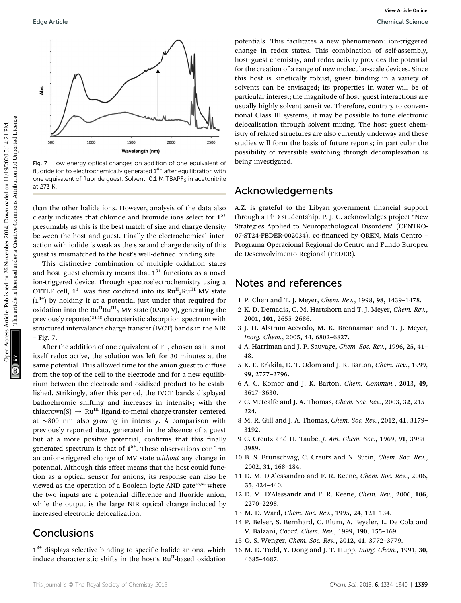

Fig. 7 Low energy optical changes on addition of one equivalent of fluoride ion to electrochemically generated  $1^{4+}$  after equilibration with one equivalent of fluoride quest. Solvent:  $0.1$  M TBAPF $_6$  in acetonitrile at 273 K.

than the other halide ions. However, analysis of the data also clearly indicates that chloride and bromide ions select for  $1^{5+}$ presumably as this is the best match of size and charge density between the host and guest. Finally the electrochemical interaction with iodide is weak as the size and charge density of this guest is mismatched to the host's well-defined binding site.

This distinctive combination of multiple oxidation states and host–guest chemistry means that  $1^{3+}$  functions as a novel ion-triggered device. Through spectroelectrochemistry using a OTTLE cell,  $\boldsymbol{1}^{3+}$  was first oxidized into its  $\text{Ru}^{\text{II}}_{\text{2}}\text{Ru}^{\text{III}}$  MV state  $(1^{4+})$  by holding it at a potential just under that required for oxidation into the  $Ru^{II}Ru^{III}$ <sub>2</sub> MV state (0.980 V), generating the previously reported<sup>34,35</sup> characteristic absorption spectrum with structured intervalance charge transfer (IVCT) bands in the NIR – Fig. 7.

After the addition of one equivalent of  $F^-$ , chosen as it is not itself redox active, the solution was left for 30 minutes at the same potential. This allowed time for the anion guest to diffuse from the top of the cell to the electrode and for a new equilibrium between the electrode and oxidized product to be established. Strikingly, after this period, the IVCT bands displayed bathochromic shifting and increases in intensity; with the thiacrown(S)  $\rightarrow$  Ru<sup>III</sup> ligand-to-metal charge-transfer centered at  $\sim$ 800 nm also growing in intensity. A comparison with previously reported data, generated in the absence of a guest but at a more positive potential, confirms that this finally generated spectrum is that of  $1^{5+}$ . These observations confirm an anion-triggered change of MV state without any change in potential. Although this effect means that the host could function as a optical sensor for anions, its response can also be viewed as the operation of a Boolean logic AND gate<sup>55,56</sup> where the two inputs are a potential difference and fluoride anion, while the output is the large NIR optical change induced by increased electronic delocalization.

## **Conclusions**

 $1^{3+}$  displays selective binding to specific halide anions, which induce characteristic shifts in the host's  $Ru<sup>H</sup>$ -based oxidation

potentials. This facilitates a new phenomenon: ion-triggered change in redox states. This combination of self-assembly, host–guest chemistry, and redox activity provides the potential for the creation of a range of new molecular-scale devices. Since this host is kinetically robust, guest binding in a variety of solvents can be envisaged; its properties in water will be of particular interest; the magnitude of host–guest interactions are usually highly solvent sensitive. Therefore, contrary to conventional Class III systems, it may be possible to tune electronic delocalisation through solvent mixing. The host–guest chemistry of related structures are also currently underway and these studies will form the basis of future reports; in particular the possibility of reversible switching through decomplexation is being investigated.

## Acknowledgements

A.Z. is grateful to the Libyan government financial support through a PhD studentship. P. J. C. acknowledges project "New Strategies Applied to Neuropathological Disorders" (CENTRO-07-ST24-FEDER-002034), co-financed by QREN, Mais Centro -Programa Operacional Regional do Centro and Fundo Europeu de Desenvolvimento Regional (FEDER).

## Notes and references

- 1 P. Chen and T. J. Meyer, Chem. Rev., 1998, 98, 1439–1478.
- 2 K. D. Demadis, C. M. Hartshorn and T. J. Meyer, Chem. Rev., 2001, 101, 2655–2686.
- 3 J. H. Alstrum-Acevedo, M. K. Brennaman and T. J. Meyer, Inorg. Chem., 2005, 44, 6802–6827.
- 4 A. Harriman and J. P. Sauvage, Chem. Soc. Rev., 1996, 25, 41– 48.
- 5 K. E. Erkkila, D. T. Odom and J. K. Barton, Chem. Rev., 1999, 99, 2777–2796.
- 6 A. C. Komor and J. K. Barton, Chem. Commun., 2013, 49, 3617–3630.
- 7 C. Metcalfe and J. A. Thomas, Chem. Soc. Rev., 2003, 32, 215– 224.
- 8 M. R. Gill and J. A. Thomas, Chem. Soc. Rev., 2012, 41, 3179– 3192.
- 9 C. Creutz and H. Taube, J. Am. Chem. Soc., 1969, 91, 3988– 3989.
- 10 B. S. Brunschwig, C. Creutz and N. Sutin, Chem. Soc. Rev., 2002, 31, 168–184.
- 11 D. M. D'Alessandro and F. R. Keene, Chem. Soc. Rev., 2006, 35, 424–440.
- 12 D. M. D'Alessandr and F. R. Keene, Chem. Rev., 2006, 106, 2270–2298.
- 13 M. D. Ward, Chem. Soc. Rev., 1995, 24, 121–134.
- 14 P. Belser, S. Bernhard, C. Blum, A. Beyeler, L. De Cola and V. Balzani, Coord. Chem. Rev., 1999, 190, 155–169.
- 15 O. S. Wenger, Chem. Soc. Rev., 2012, 41, 3772–3779.
- 16 M. D. Todd, Y. Dong and J. T. Hupp, Inorg. Chem., 1991, 30, 4685–4687.